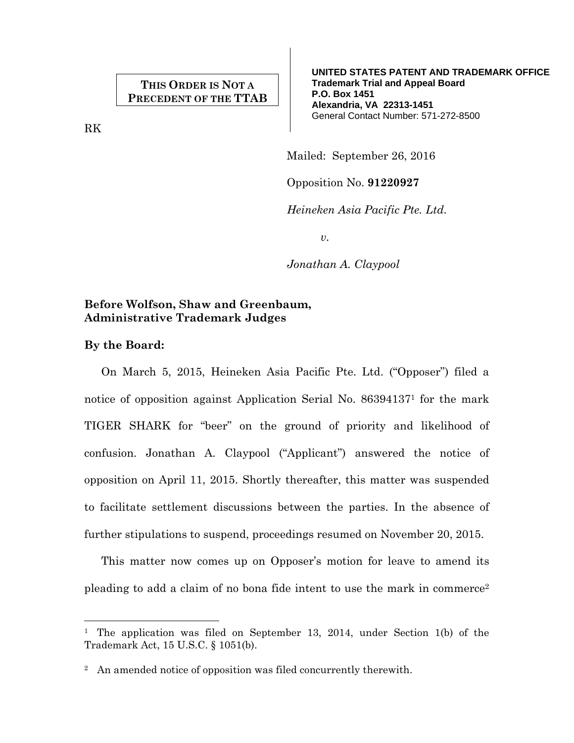# **THIS ORDER IS NOT A PRECEDENT OF THE TTAB**

RK

**UNITED STATES PATENT AND TRADEMARK OFFICE Trademark Trial and Appeal Board P.O. Box 1451 Alexandria, VA 22313-1451**  General Contact Number: 571-272-8500

Mailed: September 26, 2016

Opposition No. **91220927**

*Heineken Asia Pacific Pte. Ltd.* 

*v.* 

*Jonathan A. Claypool* 

## **Before Wolfson, Shaw and Greenbaum, Administrative Trademark Judges**

## **By the Board:**

÷,

On March 5, 2015, Heineken Asia Pacific Pte. Ltd. ("Opposer") filed a notice of opposition against Application Serial No. 863941371 for the mark TIGER SHARK for "beer" on the ground of priority and likelihood of confusion. Jonathan A. Claypool ("Applicant") answered the notice of opposition on April 11, 2015. Shortly thereafter, this matter was suspended to facilitate settlement discussions between the parties. In the absence of further stipulations to suspend, proceedings resumed on November 20, 2015.

This matter now comes up on Opposer's motion for leave to amend its pleading to add a claim of no bona fide intent to use the mark in commerce2

<sup>&</sup>lt;sup>1</sup> The application was filed on September 13, 2014, under Section 1(b) of the Trademark Act, 15 U.S.C. § 1051(b).

<sup>&</sup>lt;sup>2</sup> An amended notice of opposition was filed concurrently therewith.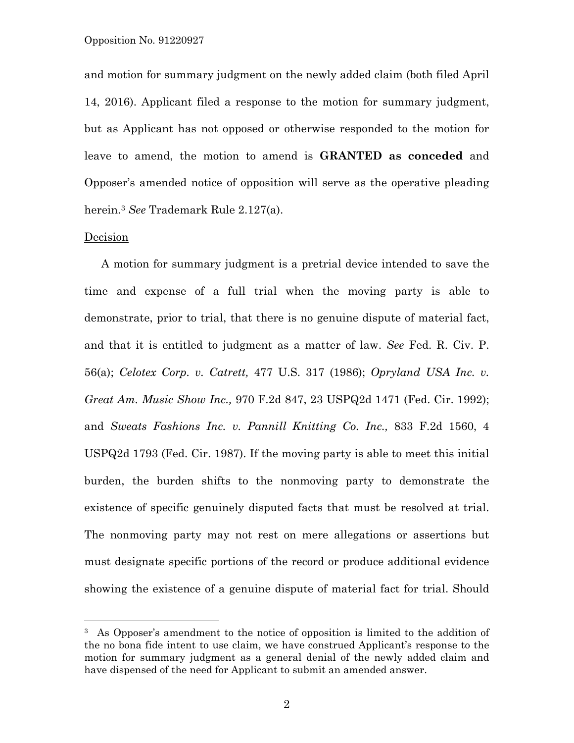and motion for summary judgment on the newly added claim (both filed April 14, 2016). Applicant filed a response to the motion for summary judgment, but as Applicant has not opposed or otherwise responded to the motion for leave to amend, the motion to amend is **GRANTED as conceded** and Opposer's amended notice of opposition will serve as the operative pleading herein.3 *See* Trademark Rule 2.127(a).

### Decision

A motion for summary judgment is a pretrial device intended to save the time and expense of a full trial when the moving party is able to demonstrate, prior to trial, that there is no genuine dispute of material fact, and that it is entitled to judgment as a matter of law. *See* Fed. R. Civ. P. 56(a); *Celotex Corp. v. Catrett,* 477 U.S. 317 (1986); *Opryland USA Inc. v. Great Am. Music Show Inc.,* 970 F.2d 847, 23 USPQ2d 1471 (Fed. Cir. 1992); and *Sweats Fashions Inc. v. Pannill Knitting Co. Inc.,* 833 F.2d 1560, 4 USPQ2d 1793 (Fed. Cir. 1987). If the moving party is able to meet this initial burden, the burden shifts to the nonmoving party to demonstrate the existence of specific genuinely disputed facts that must be resolved at trial. The nonmoving party may not rest on mere allegations or assertions but must designate specific portions of the record or produce additional evidence showing the existence of a genuine dispute of material fact for trial. Should

<sup>&</sup>lt;sup>3</sup> As Opposer's amendment to the notice of opposition is limited to the addition of the no bona fide intent to use claim, we have construed Applicant's response to the motion for summary judgment as a general denial of the newly added claim and have dispensed of the need for Applicant to submit an amended answer.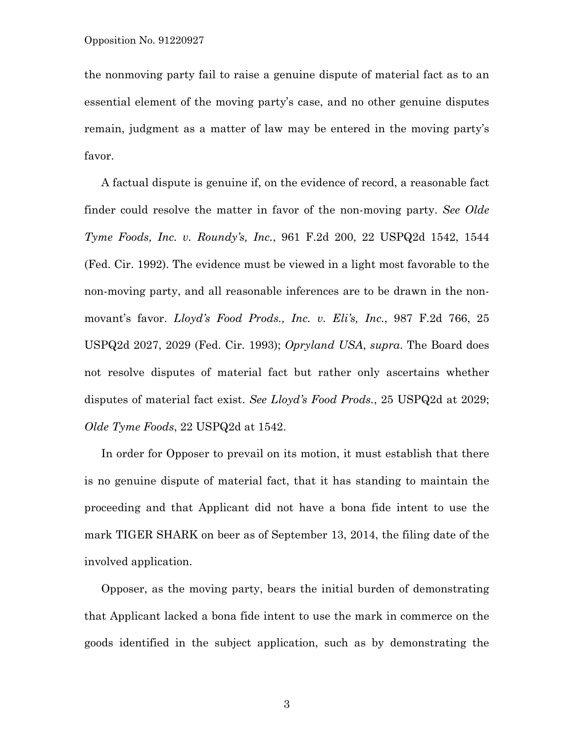the nonmoving party fail to raise a genuine dispute of material fact as to an essential element of the moving party's case, and no other genuine disputes remain, judgment as a matter of law may be entered in the moving party's favor.

A factual dispute is genuine if, on the evidence of record, a reasonable fact finder could resolve the matter in favor of the non-moving party. *See Olde Tyme Foods, Inc. v. Roundy's, Inc.*, 961 F.2d 200, 22 USPQ2d 1542, 1544 (Fed. Cir. 1992). The evidence must be viewed in a light most favorable to the non-moving party, and all reasonable inferences are to be drawn in the nonmovant's favor. *Lloyd's Food Prods., Inc. v. Eli's, Inc.*, 987 F.2d 766, 25 USPQ2d 2027, 2029 (Fed. Cir. 1993); *Opryland USA*, *supra*. The Board does not resolve disputes of material fact but rather only ascertains whether disputes of material fact exist. *See Lloyd's Food Prods.*, 25 USPQ2d at 2029; *Olde Tyme Foods*, 22 USPQ2d at 1542.

In order for Opposer to prevail on its motion, it must establish that there is no genuine dispute of material fact, that it has standing to maintain the proceeding and that Applicant did not have a bona fide intent to use the mark TIGER SHARK on beer as of September 13, 2014, the filing date of the involved application.

Opposer, as the moving party, bears the initial burden of demonstrating that Applicant lacked a bona fide intent to use the mark in commerce on the goods identified in the subject application, such as by demonstrating the

3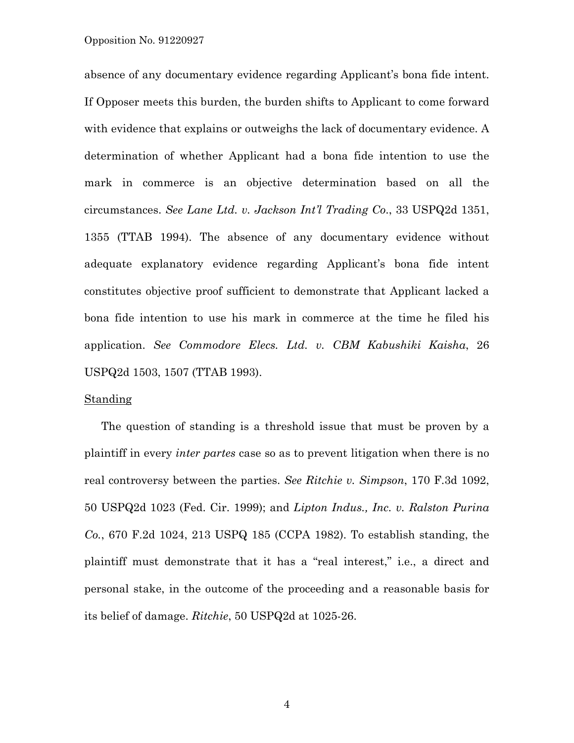#### Opposition No. 91220927

absence of any documentary evidence regarding Applicant's bona fide intent. If Opposer meets this burden, the burden shifts to Applicant to come forward with evidence that explains or outweighs the lack of documentary evidence. A determination of whether Applicant had a bona fide intention to use the mark in commerce is an objective determination based on all the circumstances. *See Lane Ltd. v. Jackson Int'l Trading Co*., 33 USPQ2d 1351, 1355 (TTAB 1994). The absence of any documentary evidence without adequate explanatory evidence regarding Applicant's bona fide intent constitutes objective proof sufficient to demonstrate that Applicant lacked a bona fide intention to use his mark in commerce at the time he filed his application. *See Commodore Elecs. Ltd. v. CBM Kabushiki Kaisha*, 26 USPQ2d 1503, 1507 (TTAB 1993).

## **Standing**

The question of standing is a threshold issue that must be proven by a plaintiff in every *inter partes* case so as to prevent litigation when there is no real controversy between the parties. *See Ritchie v. Simpson*, 170 F.3d 1092, 50 USPQ2d 1023 (Fed. Cir. 1999); and *Lipton Indus., Inc. v. Ralston Purina Co.*, 670 F.2d 1024, 213 USPQ 185 (CCPA 1982). To establish standing, the plaintiff must demonstrate that it has a "real interest," i.e., a direct and personal stake, in the outcome of the proceeding and a reasonable basis for its belief of damage. *Ritchie*, 50 USPQ2d at 1025-26.

4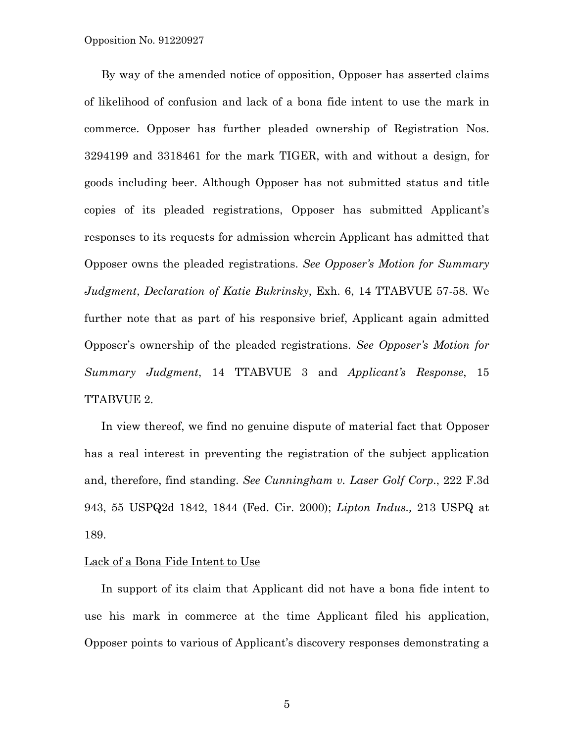By way of the amended notice of opposition, Opposer has asserted claims of likelihood of confusion and lack of a bona fide intent to use the mark in commerce. Opposer has further pleaded ownership of Registration Nos. 3294199 and 3318461 for the mark TIGER, with and without a design, for goods including beer. Although Opposer has not submitted status and title copies of its pleaded registrations, Opposer has submitted Applicant's responses to its requests for admission wherein Applicant has admitted that Opposer owns the pleaded registrations. *See Opposer's Motion for Summary Judgment*, *Declaration of Katie Bukrinsky*, Exh. 6, 14 TTABVUE 57-58. We further note that as part of his responsive brief, Applicant again admitted Opposer's ownership of the pleaded registrations. *See Opposer's Motion for Summary Judgment*, 14 TTABVUE 3 and *Applicant's Response*, 15 TTABVUE 2.

In view thereof, we find no genuine dispute of material fact that Opposer has a real interest in preventing the registration of the subject application and, therefore, find standing. *See Cunningham v. Laser Golf Corp*., 222 F.3d 943, 55 USPQ2d 1842, 1844 (Fed. Cir. 2000); *Lipton Indus.,* 213 USPQ at 189.

### Lack of a Bona Fide Intent to Use

In support of its claim that Applicant did not have a bona fide intent to use his mark in commerce at the time Applicant filed his application, Opposer points to various of Applicant's discovery responses demonstrating a

5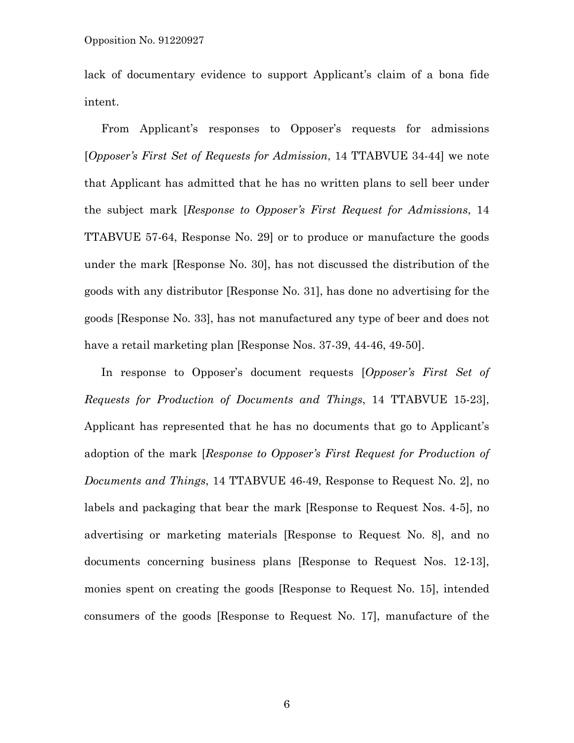lack of documentary evidence to support Applicant's claim of a bona fide intent.

From Applicant's responses to Opposer's requests for admissions [*Opposer's First Set of Requests for Admission*, 14 TTABVUE 34-44] we note that Applicant has admitted that he has no written plans to sell beer under the subject mark [*Response to Opposer's First Request for Admissions*, 14 TTABVUE 57-64, Response No. 29] or to produce or manufacture the goods under the mark [Response No. 30], has not discussed the distribution of the goods with any distributor [Response No. 31], has done no advertising for the goods [Response No. 33], has not manufactured any type of beer and does not have a retail marketing plan [Response Nos. 37-39, 44-46, 49-50].

In response to Opposer's document requests [*Opposer's First Set of Requests for Production of Documents and Things*, 14 TTABVUE 15-23], Applicant has represented that he has no documents that go to Applicant's adoption of the mark [*Response to Opposer's First Request for Production of Documents and Things*, 14 TTABVUE 46-49, Response to Request No. 2], no labels and packaging that bear the mark [Response to Request Nos. 4-5], no advertising or marketing materials [Response to Request No. 8], and no documents concerning business plans [Response to Request Nos. 12-13], monies spent on creating the goods [Response to Request No. 15], intended consumers of the goods [Response to Request No. 17], manufacture of the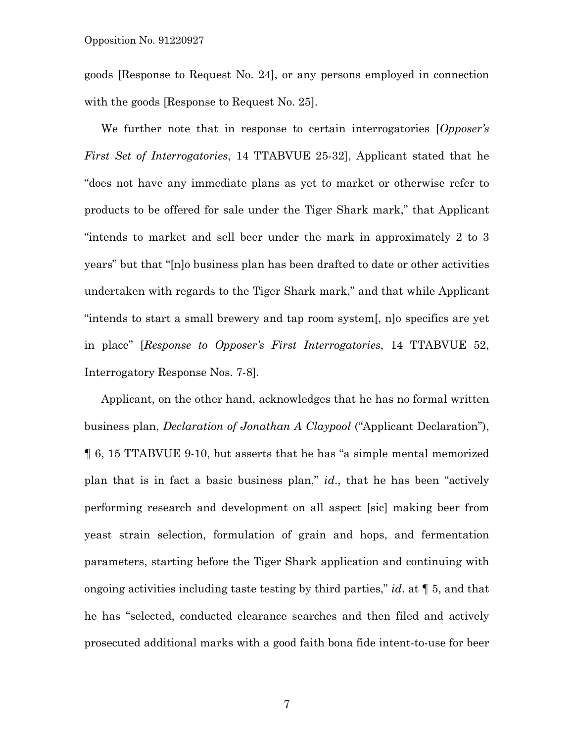goods [Response to Request No. 24], or any persons employed in connection with the goods [Response to Request No. 25].

We further note that in response to certain interrogatories [*Opposer's First Set of Interrogatories*, 14 TTABVUE 25-32], Applicant stated that he "does not have any immediate plans as yet to market or otherwise refer to products to be offered for sale under the Tiger Shark mark," that Applicant "intends to market and sell beer under the mark in approximately 2 to 3 years" but that "[n]o business plan has been drafted to date or other activities undertaken with regards to the Tiger Shark mark," and that while Applicant "intends to start a small brewery and tap room system[, n]o specifics are yet in place" [*Response to Opposer's First Interrogatories*, 14 TTABVUE 52, Interrogatory Response Nos. 7-8].

Applicant, on the other hand, acknowledges that he has no formal written business plan, *Declaration of Jonathan A Claypool* ("Applicant Declaration"), ¶ 6, 15 TTABVUE 9-10, but asserts that he has "a simple mental memorized plan that is in fact a basic business plan," *id*., that he has been "actively performing research and development on all aspect [sic] making beer from yeast strain selection, formulation of grain and hops, and fermentation parameters, starting before the Tiger Shark application and continuing with ongoing activities including taste testing by third parties," *id*. at ¶ 5, and that he has "selected, conducted clearance searches and then filed and actively prosecuted additional marks with a good faith bona fide intent-to-use for beer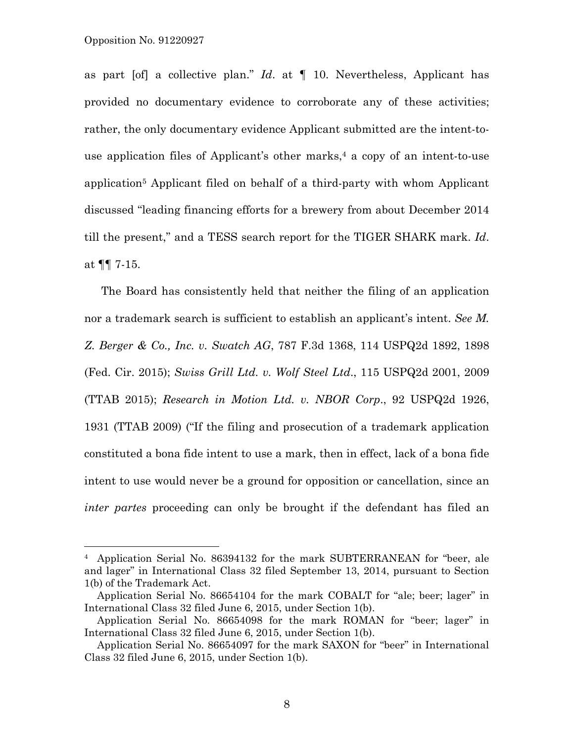÷,

as part [of] a collective plan." *Id*. at ¶ 10. Nevertheless, Applicant has provided no documentary evidence to corroborate any of these activities; rather, the only documentary evidence Applicant submitted are the intent-touse application files of Applicant's other marks, $4$  a copy of an intent-to-use application5 Applicant filed on behalf of a third-party with whom Applicant discussed "leading financing efforts for a brewery from about December 2014 till the present," and a TESS search report for the TIGER SHARK mark. *Id*. at ¶¶ 7-15.

The Board has consistently held that neither the filing of an application nor a trademark search is sufficient to establish an applicant's intent. *See M. Z. Berger & Co., Inc. v. Swatch AG*, 787 F.3d 1368, 114 USPQ2d 1892, 1898 (Fed. Cir. 2015); *Swiss Grill Ltd. v. Wolf Steel Ltd*., 115 USPQ2d 2001, 2009 (TTAB 2015); *Research in Motion Ltd. v. NBOR Corp*., 92 USPQ2d 1926, 1931 (TTAB 2009) ("If the filing and prosecution of a trademark application constituted a bona fide intent to use a mark, then in effect, lack of a bona fide intent to use would never be a ground for opposition or cancellation, since an *inter partes* proceeding can only be brought if the defendant has filed an

<sup>4</sup> Application Serial No. 86394132 for the mark SUBTERRANEAN for "beer, ale and lager" in International Class 32 filed September 13, 2014, pursuant to Section 1(b) of the Trademark Act.

Application Serial No. 86654104 for the mark COBALT for "ale; beer; lager" in International Class 32 filed June 6, 2015, under Section 1(b).

Application Serial No. 86654098 for the mark ROMAN for "beer; lager" in International Class 32 filed June 6, 2015, under Section 1(b).

Application Serial No. 86654097 for the mark SAXON for "beer" in International Class 32 filed June 6, 2015, under Section 1(b).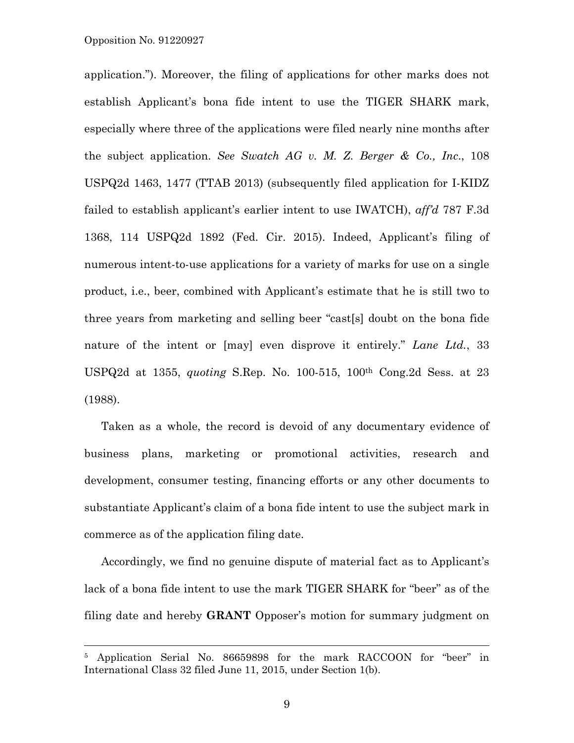#### Opposition No. 91220927

—<br>—

application."). Moreover, the filing of applications for other marks does not establish Applicant's bona fide intent to use the TIGER SHARK mark, especially where three of the applications were filed nearly nine months after the subject application. *See Swatch AG v. M. Z. Berger & Co., Inc*., 108 USPQ2d 1463, 1477 (TTAB 2013) (subsequently filed application for I-KIDZ failed to establish applicant's earlier intent to use IWATCH), *aff'd* 787 F.3d 1368, 114 USPQ2d 1892 (Fed. Cir. 2015). Indeed, Applicant's filing of numerous intent-to-use applications for a variety of marks for use on a single product, i.e., beer, combined with Applicant's estimate that he is still two to three years from marketing and selling beer "cast[s] doubt on the bona fide nature of the intent or [may] even disprove it entirely." *Lane Ltd.*, 33 USPQ2d at 1355, *quoting* S.Rep. No. 100-515, 100th Cong.2d Sess. at 23 (1988).

Taken as a whole, the record is devoid of any documentary evidence of business plans, marketing or promotional activities, research and development, consumer testing, financing efforts or any other documents to substantiate Applicant's claim of a bona fide intent to use the subject mark in commerce as of the application filing date.

Accordingly, we find no genuine dispute of material fact as to Applicant's lack of a bona fide intent to use the mark TIGER SHARK for "beer" as of the filing date and hereby **GRANT** Opposer's motion for summary judgment on

<sup>5</sup> Application Serial No. 86659898 for the mark RACCOON for "beer" in International Class 32 filed June 11, 2015, under Section 1(b).